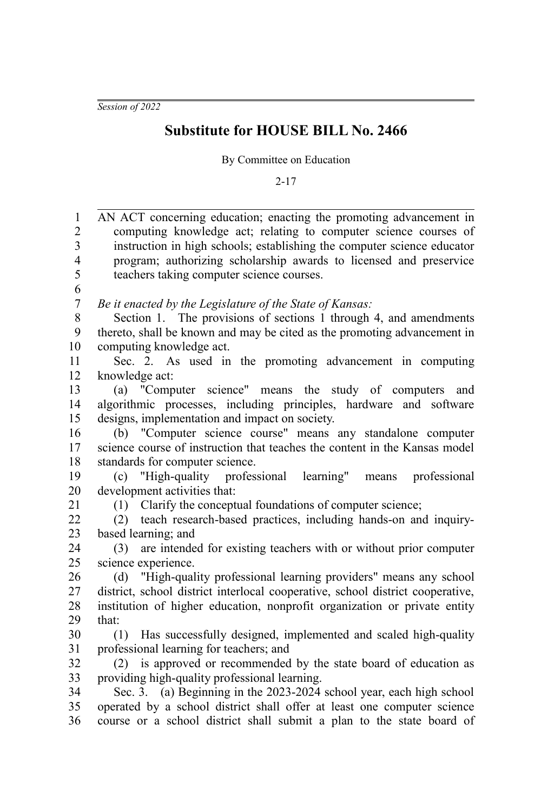*Session of 2022*

## **Substitute for HOUSE BILL No. 2466**

By Committee on Education

2-17

| $\mathbf{1}$             | AN ACT concerning education; enacting the promoting advancement in             |
|--------------------------|--------------------------------------------------------------------------------|
| $\overline{c}$           | computing knowledge act; relating to computer science courses of               |
| $\overline{\mathbf{3}}$  | instruction in high schools; establishing the computer science educator        |
| $\overline{\mathcal{L}}$ | program; authorizing scholarship awards to licensed and preservice             |
| 5                        | teachers taking computer science courses.                                      |
| 6                        |                                                                                |
| $\boldsymbol{7}$         | Be it enacted by the Legislature of the State of Kansas:                       |
| 8                        | Section 1. The provisions of sections 1 through 4, and amendments              |
| 9                        | thereto, shall be known and may be cited as the promoting advancement in       |
| 10                       | computing knowledge act.                                                       |
| 11                       | Sec. 2. As used in the promoting advancement in computing                      |
| 12                       | knowledge act:                                                                 |
| 13                       | (a) "Computer science" means the study of computers<br>and                     |
| 14                       | algorithmic processes, including principles, hardware and software             |
| 15                       | designs, implementation and impact on society.                                 |
| 16                       | (b) "Computer science course" means any standalone computer                    |
| 17                       | science course of instruction that teaches the content in the Kansas model     |
| 18                       | standards for computer science.                                                |
| 19                       | "High-quality professional<br>learning"<br>professional<br>(c)<br>means        |
| 20                       | development activities that:                                                   |
| 21                       | (1) Clarify the conceptual foundations of computer science;                    |
| 22                       | (2) teach research-based practices, including hands-on and inquiry-            |
| 23                       | based learning; and                                                            |
| 24                       | are intended for existing teachers with or without prior computer<br>(3)       |
| 25                       | science experience.                                                            |
| 26                       | "High-quality professional learning providers" means any school<br>(d)         |
| 27                       | district, school district interlocal cooperative, school district cooperative, |
| 28                       | institution of higher education, nonprofit organization or private entity      |
| 29                       | that:                                                                          |
| 30                       | Has successfully designed, implemented and scaled high-quality<br>(1)          |
| 31                       | professional learning for teachers; and                                        |
| 32                       | is approved or recommended by the state board of education as<br>(2)           |
| 33                       | providing high-quality professional learning.                                  |
| 34                       | Sec. 3. (a) Beginning in the 2023-2024 school year, each high school           |
| 35                       | operated by a school district shall offer at least one computer science        |
| 36                       | course or a school district shall submit a plan to the state board of          |
|                          |                                                                                |
|                          |                                                                                |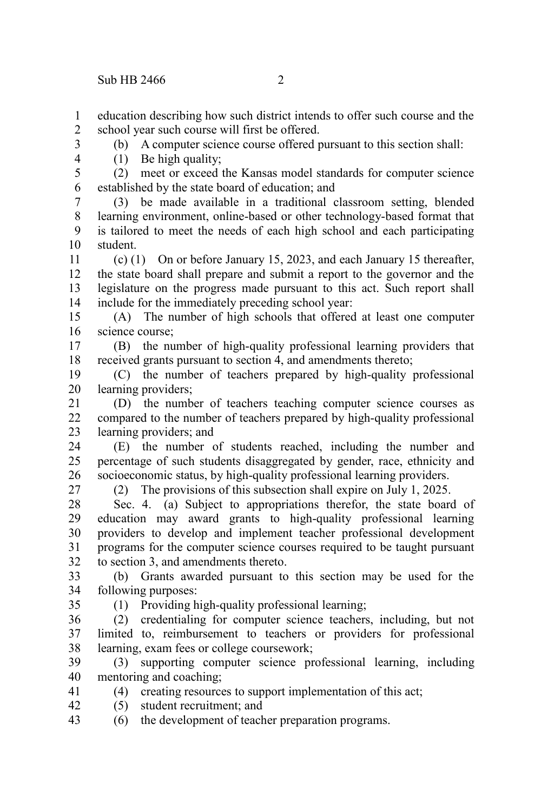education describing how such district intends to offer such course and the school year such course will first be offered. 1 2

3

4 5

(1) Be high quality; (2) meet or exceed the Kansas model standards for computer science

(b) A computer science course offered pursuant to this section shall:

established by the state board of education; and (3) be made available in a traditional classroom setting, blended 6 7

learning environment, online-based or other technology-based format that is tailored to meet the needs of each high school and each participating student. 8 9 10

(c) (1) On or before January 15, 2023, and each January 15 thereafter, the state board shall prepare and submit a report to the governor and the legislature on the progress made pursuant to this act. Such report shall include for the immediately preceding school year: 11 12 13 14

(A) The number of high schools that offered at least one computer science course; 15 16

(B) the number of high-quality professional learning providers that received grants pursuant to section 4, and amendments thereto; 17 18

(C) the number of teachers prepared by high-quality professional learning providers; 19 20

(D) the number of teachers teaching computer science courses as compared to the number of teachers prepared by high-quality professional learning providers; and 21  $22$ 23

(E) the number of students reached, including the number and percentage of such students disaggregated by gender, race, ethnicity and socioeconomic status, by high-quality professional learning providers. 24 25 26

27

(2) The provisions of this subsection shall expire on July 1, 2025.

Sec. 4. (a) Subject to appropriations therefor, the state board of education may award grants to high-quality professional learning providers to develop and implement teacher professional development programs for the computer science courses required to be taught pursuant to section 3, and amendments thereto. 28 29 30 31 32

(b) Grants awarded pursuant to this section may be used for the following purposes: 33 34

35

(1) Providing high-quality professional learning;

(2) credentialing for computer science teachers, including, but not limited to, reimbursement to teachers or providers for professional learning, exam fees or college coursework; 36 37 38

(3) supporting computer science professional learning, including mentoring and coaching; 39 40

(4) creating resources to support implementation of this act; 41

- (5) student recruitment; and 42
- (6) the development of teacher preparation programs. 43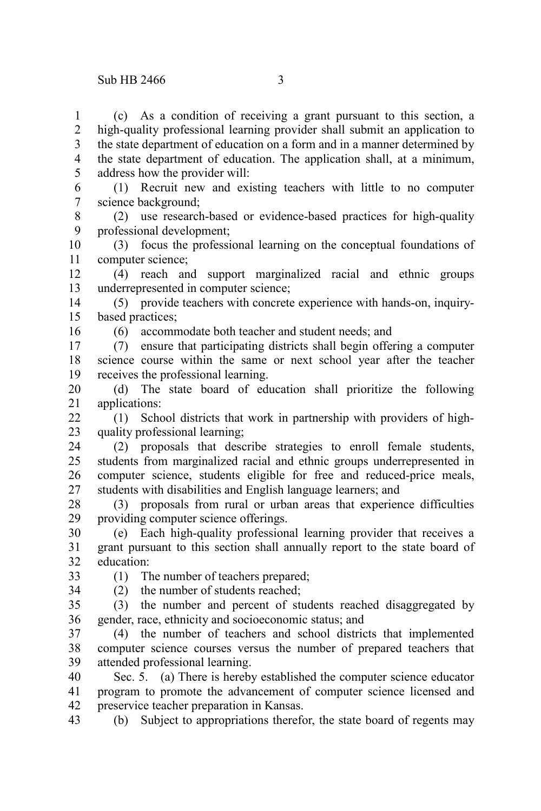(c) As a condition of receiving a grant pursuant to this section, a high-quality professional learning provider shall submit an application to the state department of education on a form and in a manner determined by the state department of education. The application shall, at a minimum, address how the provider will: 1 2 3 4 5

(1) Recruit new and existing teachers with little to no computer science background; 6 7

(2) use research-based or evidence-based practices for high-quality professional development; 8 9

(3) focus the professional learning on the conceptual foundations of computer science; 10 11

(4) reach and support marginalized racial and ethnic groups underrepresented in computer science; 12 13

(5) provide teachers with concrete experience with hands-on, inquirybased practices; 14 15

16

(6) accommodate both teacher and student needs; and

(7) ensure that participating districts shall begin offering a computer science course within the same or next school year after the teacher receives the professional learning. 17 18 19

(d) The state board of education shall prioritize the following applications: 20 21

(1) School districts that work in partnership with providers of highquality professional learning;  $22$ 23

(2) proposals that describe strategies to enroll female students, students from marginalized racial and ethnic groups underrepresented in computer science, students eligible for free and reduced-price meals, students with disabilities and English language learners; and 24 25 26 27

(3) proposals from rural or urban areas that experience difficulties providing computer science offerings. 28 29

(e) Each high-quality professional learning provider that receives a grant pursuant to this section shall annually report to the state board of education: 30 31 32

33 34 (1) The number of teachers prepared;

(2) the number of students reached;

(3) the number and percent of students reached disaggregated by gender, race, ethnicity and socioeconomic status; and 35 36

(4) the number of teachers and school districts that implemented computer science courses versus the number of prepared teachers that attended professional learning. 37 38 39

Sec. 5. (a) There is hereby established the computer science educator program to promote the advancement of computer science licensed and preservice teacher preparation in Kansas. 40 41 42

(b) Subject to appropriations therefor, the state board of regents may 43